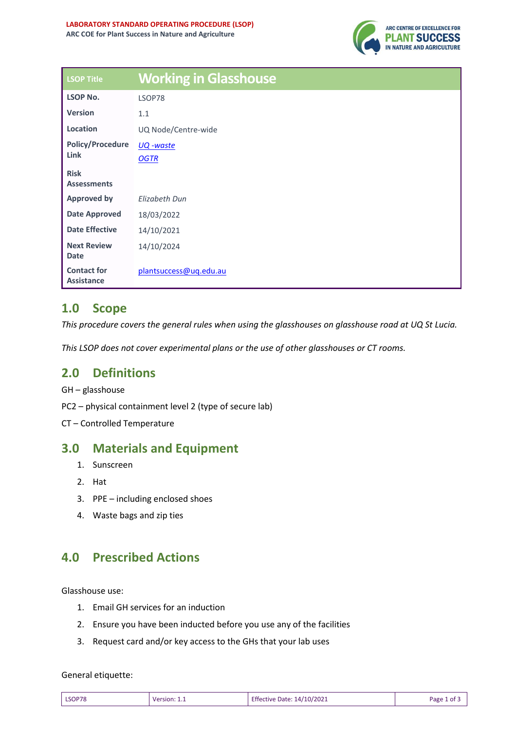

| <b>LSOP Title</b>                       | <b>Working in Glasshouse</b> |
|-----------------------------------------|------------------------------|
| <b>LSOP No.</b>                         | LSOP78                       |
| <b>Version</b>                          | 1.1                          |
| Location                                | UQ Node/Centre-wide          |
| <b>Policy/Procedure</b><br>Link         | <u>UQ -waste</u>             |
|                                         | <b>OGTR</b>                  |
| <b>Risk</b>                             |                              |
| <b>Assessments</b>                      |                              |
| <b>Approved by</b>                      | Elizabeth Dun                |
| <b>Date Approved</b>                    | 18/03/2022                   |
| <b>Date Effective</b>                   | 14/10/2021                   |
| <b>Next Review</b>                      | 14/10/2024                   |
| <b>Date</b>                             |                              |
| <b>Contact for</b><br><b>Assistance</b> | plantsuccess@uq.edu.au       |

# **1.0 Scope**

*This procedure covers the general rules when using the glasshouses on glasshouse road at UQ St Lucia.* 

*This LSOP does not cover experimental plans or the use of other glasshouses or CT rooms.* 

## **2.0 Definitions**

GH – glasshouse

PC2 – physical containment level 2 (type of secure lab)

CT – Controlled Temperature

## **3.0 Materials and Equipment**

- 1. Sunscreen
- 2. Hat
- 3. PPE including enclosed shoes
- 4. Waste bags and zip ties

# **4.0 Prescribed Actions**

Glasshouse use:

- 1. Email GH services for an induction
- 2. Ensure you have been inducted before you use any of the facilities
- 3. Request card and/or key access to the GHs that your lab uses

### General etiquette:

| LSOP78<br>Effective Date: 14/10/2021<br>Page 1 of 5<br>Version: $11$<br>________ |  |
|----------------------------------------------------------------------------------|--|
|----------------------------------------------------------------------------------|--|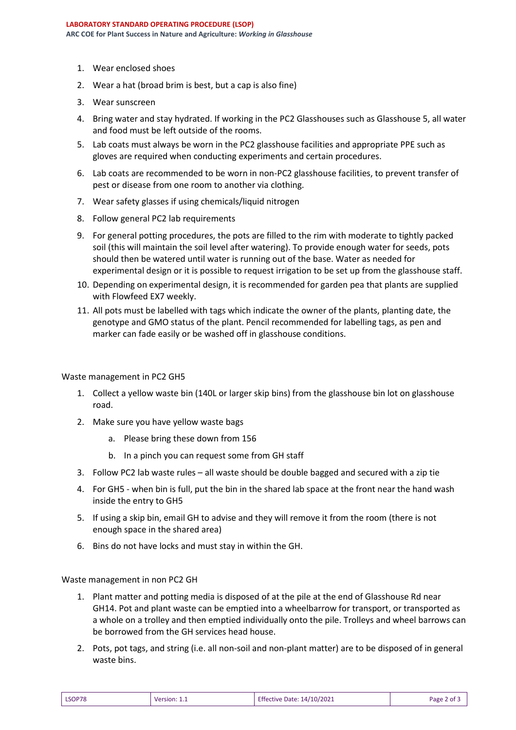- 1. Wear enclosed shoes
- 2. Wear a hat (broad brim is best, but a cap is also fine)
- 3. Wear sunscreen
- 4. Bring water and stay hydrated. If working in the PC2 Glasshouses such as Glasshouse 5, all water and food must be left outside of the rooms.
- 5. Lab coats must always be worn in the PC2 glasshouse facilities and appropriate PPE such as gloves are required when conducting experiments and certain procedures.
- 6. Lab coats are recommended to be worn in non-PC2 glasshouse facilities, to prevent transfer of pest or disease from one room to another via clothing.
- 7. Wear safety glasses if using chemicals/liquid nitrogen
- 8. Follow general PC2 lab requirements
- 9. For general potting procedures, the pots are filled to the rim with moderate to tightly packed soil (this will maintain the soil level after watering). To provide enough water for seeds, pots should then be watered until water is running out of the base. Water as needed for experimental design or it is possible to request irrigation to be set up from the glasshouse staff.
- 10. Depending on experimental design, it is recommended for garden pea that plants are supplied with Flowfeed EX7 weekly.
- 11. All pots must be labelled with tags which indicate the owner of the plants, planting date, the genotype and GMO status of the plant. Pencil recommended for labelling tags, as pen and marker can fade easily or be washed off in glasshouse conditions.

#### Waste management in PC2 GH5

- 1. Collect a yellow waste bin (140L or larger skip bins) from the glasshouse bin lot on glasshouse road.
- 2. Make sure you have yellow waste bags
	- a. Please bring these down from 156
	- b. In a pinch you can request some from GH staff
- 3. Follow PC2 lab waste rules all waste should be double bagged and secured with a zip tie
- 4. For GH5 when bin is full, put the bin in the shared lab space at the front near the hand wash inside the entry to GH5
- 5. If using a skip bin, email GH to advise and they will remove it from the room (there is not enough space in the shared area)
- 6. Bins do not have locks and must stay in within the GH.

Waste management in non PC2 GH

- 1. Plant matter and potting media is disposed of at the pile at the end of Glasshouse Rd near GH14. Pot and plant waste can be emptied into a wheelbarrow for transport, or transported as a whole on a trolley and then emptied individually onto the pile. Trolleys and wheel barrows can be borrowed from the GH services head house.
- 2. Pots, pot tags, and string (i.e. all non-soil and non-plant matter) are to be disposed of in general waste bins.

| LSOP78 | Version: 1.1 | Effective Date: 14/10/2021 | Page 2 of 5 |
|--------|--------------|----------------------------|-------------|
|--------|--------------|----------------------------|-------------|